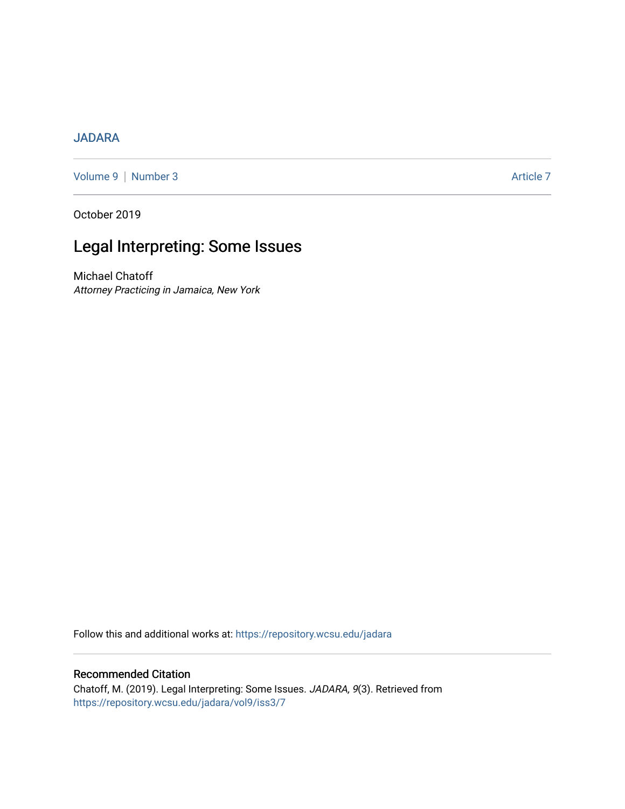## [JADARA](https://repository.wcsu.edu/jadara)

[Volume 9](https://repository.wcsu.edu/jadara/vol9) | [Number 3](https://repository.wcsu.edu/jadara/vol9/iss3) Article 7

October 2019

# Legal Interpreting: Some Issues

Michael Chatoff Attorney Practicing in Jamaica, New York

Follow this and additional works at: [https://repository.wcsu.edu/jadara](https://repository.wcsu.edu/jadara?utm_source=repository.wcsu.edu%2Fjadara%2Fvol9%2Fiss3%2F7&utm_medium=PDF&utm_campaign=PDFCoverPages)

## Recommended Citation

Chatoff, M. (2019). Legal Interpreting: Some Issues. JADARA, 9(3). Retrieved from [https://repository.wcsu.edu/jadara/vol9/iss3/7](https://repository.wcsu.edu/jadara/vol9/iss3/7?utm_source=repository.wcsu.edu%2Fjadara%2Fvol9%2Fiss3%2F7&utm_medium=PDF&utm_campaign=PDFCoverPages)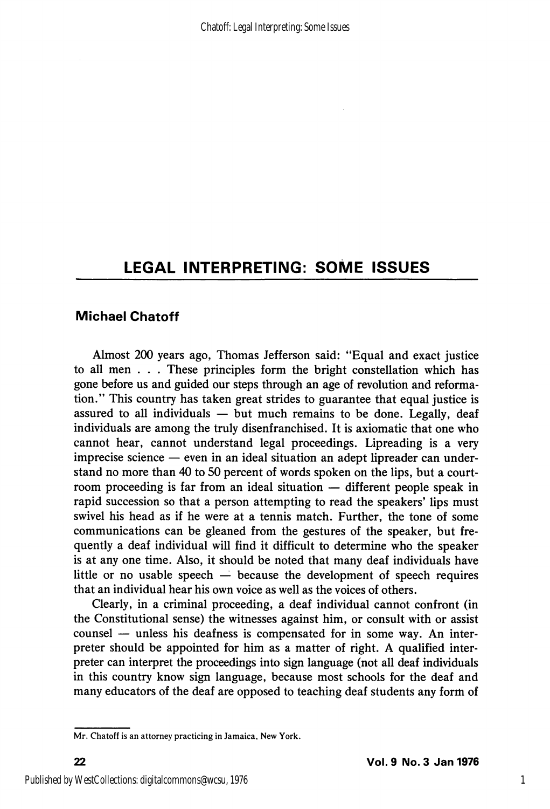## LEGAL INTERPRETING: SOME ISSUES

### Michael Chatoff

Almost 200 years ago, Thomas Jefferson said: "Equal and exact justice to all men . . . These principles form the bright constellation which has gone before us and guided our steps through an age of revolution and reforma tion." This country has taken great strides to guarantee that equal justice is assured to all individuals  $-$  but much remains to be done. Legally, deaf individuals are among the truly disenfranchised. It is axiomatic that one who cannot hear, cannot understand legal proceedings. Lipreading is a very imprecise science — even in an ideal situation an adept lipreader can under stand no more than 40 to 50 percent of words spoken on the lips, but a court room proceeding is far from an ideal situation — different people speak in rapid succession so that a person attempting to read the speakers' lips must swivel his head as if he were at a tennis match. Further, the tone of some communications can be gleaned from the gestures of the speaker, but fre quently a deaf individual will find it difficult to determine who the speaker is at any one time. Also, it should be noted that many deaf individuals have little or no usable speech — because the development of speech requires that an individual hear his own voice as well as the voices of others.

Clearly, in a criminal proceeding, a deaf individual cannot confront (in the Constitutional sense) the witnesses against him, or consult with or assist counsel — unless his deafness is compensated for in some way. An inter preter should be appointed for him as a matter of right. A qualified inter preter can interpret the proceedings into sign language (not all deaf individuals in this country know sign language, because most schools for the deaf and many educators of the deaf are opposed to teaching deaf students any form of

Mr. Chatoff is an attorney practicing in Jamaica, New York.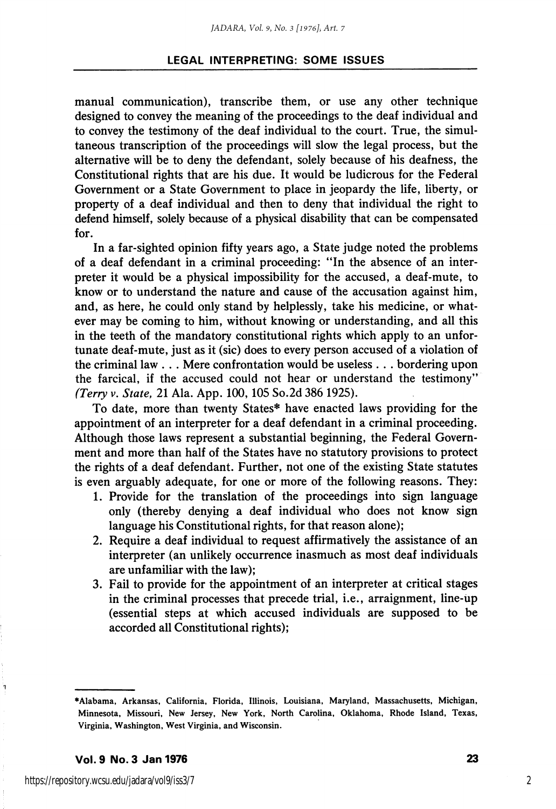#### LEGAL INTERPRETING: SOME ISSUES

manual communication), transcribe them, or use any other technique designed to convey the meaning of the proceedings to the deaf individual and to convey the testimony of the deaf individual to the court. True, the simul taneous transcription of the proceedings will slow the legal process, but the alternative will be to deny the defendant, solely because of his deafness, the Constitutional rights that are his due. It would be ludicrous for the Federal Government or a State Government to place in jeopardy the life, liberty, or property of a deaf individual and then to deny that individual the right to defend himself, solely because of a physical disability that can be compensated for.

In a far-sighted opinion fifty years ago, a State judge noted the problems of a deaf defendant in a criminal proceeding: "In the absence of an inter preter it would be a physical impossibility for the accused, a deaf-mute, to know or to understand the nature and cause of the accusation against him, and, as here, he could only stand by helplessly, take his medicine, or what ever may be coming to him, without knowing or understanding, and all this in the teeth of the mandatory constitutional rights which apply to an unfor tunate deaf-mute, just as it (sic) does to every person accused of a violation of the criminal law . . . Mere confrontation would be useless . . . bordering upon the farcical, if the accused could not hear or understand the testimony" (Terry v. State, 21 Ala. App. 100,105 So.2d 386 1925).

To date, more than twenty States\* have enacted laws providing for the appointment of an interpreter for a deaf defendant in a criminal proceeding. Although those laws represent a substantial beginning, the Federal Govern ment and more than half of the States have no statutory provisions to protect the rights of a deaf defendant. Further, not one of the existing State statutes is even arguably adequate, for one or more of the following reasons. They:

- 1. Provide for the translation of the proceedings into sign language only (thereby denying a deaf individual who does not know sign language his Constitutional rights, for that reason alone);
- 2. Require a deaf individual to request affirmatively the assistance of an interpreter (an unlikely occurrence inasmuch as most deaf individuals are unfamiliar with the law);
- 3. Fail to provide for the appointment of an interpreter at critical stages in the criminal processes that precede trial, i.e., arraignment, line-up (essential steps at which accused individuals are supposed to be accorded all Constitutional rights);

Vol. 9 No. 3 Jan 1976 23

٦

2

<sup>♦</sup>Alabama, Arkansas, California, Florida, Illinois, Louisiana, Maryland, Massachusetts, Michigan, Minnesota, Missouri, New Jersey, New York, North Carolina, Oklahoma, Rhode Island, Texas, Virginia, Washington, West Virginia, and Wisconsin.